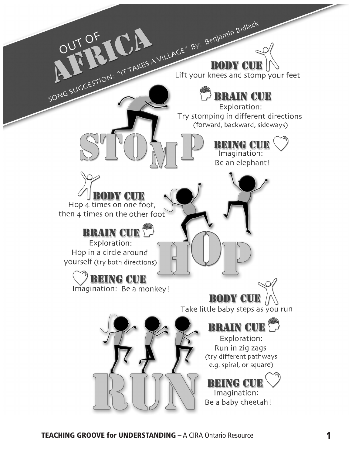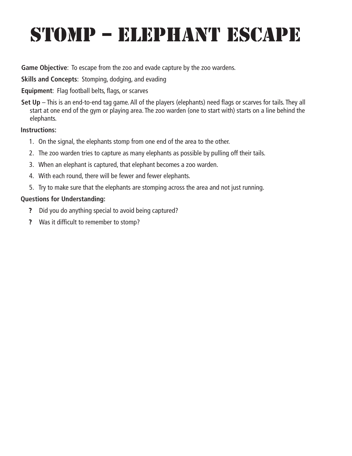### STOMP – ELEPHANT ESCAPE

**Game Objective**: To escape from the zoo and evade capture by the zoo wardens.

**Skills and Concepts**: Stomping, dodging, and evading

### **Equipment**: Flag football belts, flags, or scarves

**Set Up** – This is an end-to-end tag game. All of the players (elephants) need flags or scarves for tails. They all start at one end of the gym or playing area. The zoo warden (one to start with) starts on a line behind the elephants.

### **Instructions:**

- 1. On the signal, the elephants stomp from one end of the area to the other.
- 2. The zoo warden tries to capture as many elephants as possible by pulling off their tails.
- 3. When an elephant is captured, that elephant becomes a zoo warden.
- 4. With each round, there will be fewer and fewer elephants.
- 5. Try to make sure that the elephants are stomping across the area and not just running.

- ? Did you do anything special to avoid being captured?
- ? Was it difficult to remember to stomp?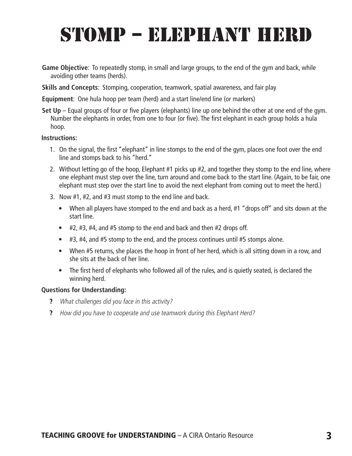### STOMP – ELEPHANT HERD

- **Game Objective**: To repeatedly stomp, in small and large groups, to the end of the gym and back, while avoiding other teams (herds).
- **Skills and Concepts**: Stomping, cooperation, teamwork, spatial awareness, and fair play

**Equipment**: One hula hoop per team (herd) and a start line/end line (or markers)

**Set Up** – Equal groups of four or five players (elephants) line up one behind the other at one end of the gym. Number the elephants in order, from one to four (or five). The first elephant in each group holds a hula hoop.

#### **Instructions:**

- 1. On the signal, the first "elephant" in line stomps to the end of the gym, places one foot over the end line and stomps back to his "herd."
- 2. Without letting go of the hoop, Elephant #1 picks up #2, and together they stomp to the end line, where one elephant must step over the line, turn around and come back to the start line. (Again, to be fair, one elephant must step over the start line to avoid the next elephant from coming out to meet the herd.)
- 3. Now #1, #2, and #3 must stomp to the end line and back.
	- When all players have stomped to the end and back as a herd, #1 "drops off" and sits down at the start line.
	- #2, #3, #4, and #5 stomp to the end and back and then #2 drops off.
	- #3, #4, and #5 stomp to the end, and the process continues until #5 stomps alone.
	- When #5 returns, she places the hoop in front of her herd, which is all sitting down in a row, and she sits at the back of her line.
	- The first herd of elephants who followed all of the rules, and is quietly seated, is declared the winning herd.

- ? What challenges did you face in this activity?
- ? How did you have to cooperate and use teamwork during this Elephant Herd?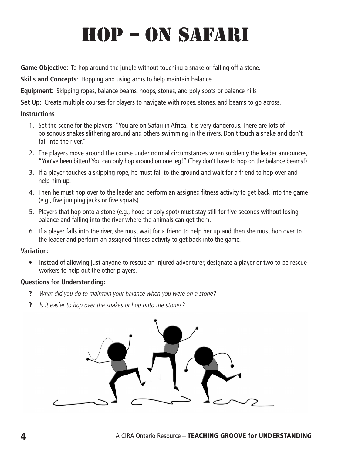# HOP – ON SAFARI

**Game Objective**: To hop around the jungle without touching a snake or falling off a stone.

**Skills and Concepts**: Hopping and using arms to help maintain balance

**Equipment**: Skipping ropes, balance beams, hoops, stones, and poly spots or balance hills

**Set Up**: Create multiple courses for players to navigate with ropes, stones, and beams to go across.

### **Instructions**

- 1. Set the scene for the players: "You are on Safari in Africa. It is very dangerous. There are lots of poisonous snakes slithering around and others swimming in the rivers. Don't touch a snake and don't fall into the river."
- 2. The players move around the course under normal circumstances when suddenly the leader announces, "You've been bitten! You can only hop around on one leg!" (They don't have to hop on the balance beams!)
- 3. If a player touches a skipping rope, he must fall to the ground and wait for a friend to hop over and help him up.
- 4. Then he must hop over to the leader and perform an assigned fitness activity to get back into the game (e.g., five jumping jacks or five squats).
- 5. Players that hop onto a stone (e.g., hoop or poly spot) must stay still for five seconds without losing balance and falling into the river where the animals can get them.
- 6. If a player falls into the river, she must wait for a friend to help her up and then she must hop over to the leader and perform an assigned fitness activity to get back into the game.

### **Variation:**

• Instead of allowing just anyone to rescue an injured adventurer, designate a player or two to be rescue workers to help out the other players.

- ? What did you do to maintain your balance when you were on a stone?
- ? Is it easier to hop over the snakes or hop onto the stones?

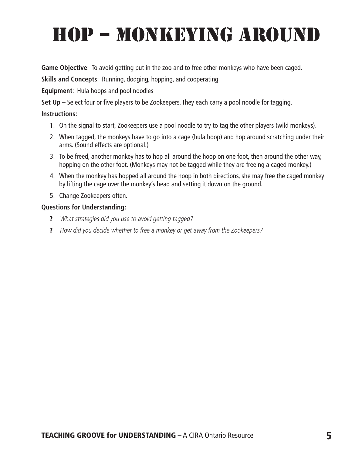# HOP – MONKEYING AROUND

**Game Objective**: To avoid getting put in the zoo and to free other monkeys who have been caged.

**Skills and Concepts**: Running, dodging, hopping, and cooperating

**Equipment**: Hula hoops and pool noodles

**Set Up** – Select four or five players to be Zookeepers. They each carry a pool noodle for tagging.

### **Instructions:**

- 1. On the signal to start, Zookeepers use a pool noodle to try to tag the other players (wild monkeys).
- 2. When tagged, the monkeys have to go into a cage (hula hoop) and hop around scratching under their arms. (Sound effects are optional.)
- 3. To be freed, another monkey has to hop all around the hoop on one foot, then around the other way, hopping on the other foot. (Monkeys may not be tagged while they are freeing a caged monkey.)
- 4. When the monkey has hopped all around the hoop in both directions, she may free the caged monkey by lifting the cage over the monkey's head and setting it down on the ground.
- 5. Change Zookeepers often.

- ? What strategies did you use to avoid getting tagged?
- ? How did you decide whether to free a monkey or get away from the Zookeepers?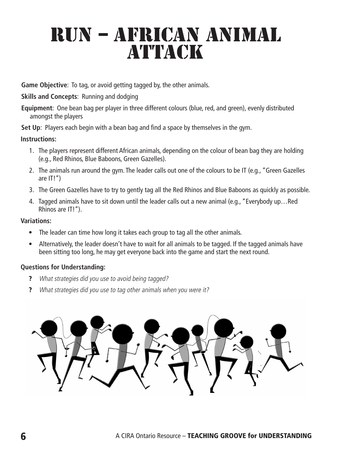### RUN – AFRICAN ANIMAL **ATTACK**

**Game Objective**: To tag, or avoid getting tagged by, the other animals.

**Skills and Concepts**: Running and dodging

**Equipment**: One bean bag per player in three different colours (blue, red, and green), evenly distributed amongst the players

**Set Up**: Players each begin with a bean bag and find a space by themselves in the gym.

**Instructions:**

- 1. The players represent different African animals, depending on the colour of bean bag they are holding (e.g., Red Rhinos, Blue Baboons, Green Gazelles).
- 2. The animals run around the gym. The leader calls out one of the colours to be IT (e.g., "Green Gazelles are IT!")
- 3. The Green Gazelles have to try to gently tag all the Red Rhinos and Blue Baboons as quickly as possible.
- 4. Tagged animals have to sit down until the leader calls out a new animal (e.g., "Everybody up…Red Rhinos are IT!").

### **Variations:**

- The leader can time how long it takes each group to tag all the other animals.
- Alternatively, the leader doesn't have to wait for all animals to be tagged. If the tagged animals have been sitting too long, he may get everyone back into the game and start the next round.

- ? What strategies did you use to avoid being tagged?
- ? What strategies did you use to tag other animals when you were it?